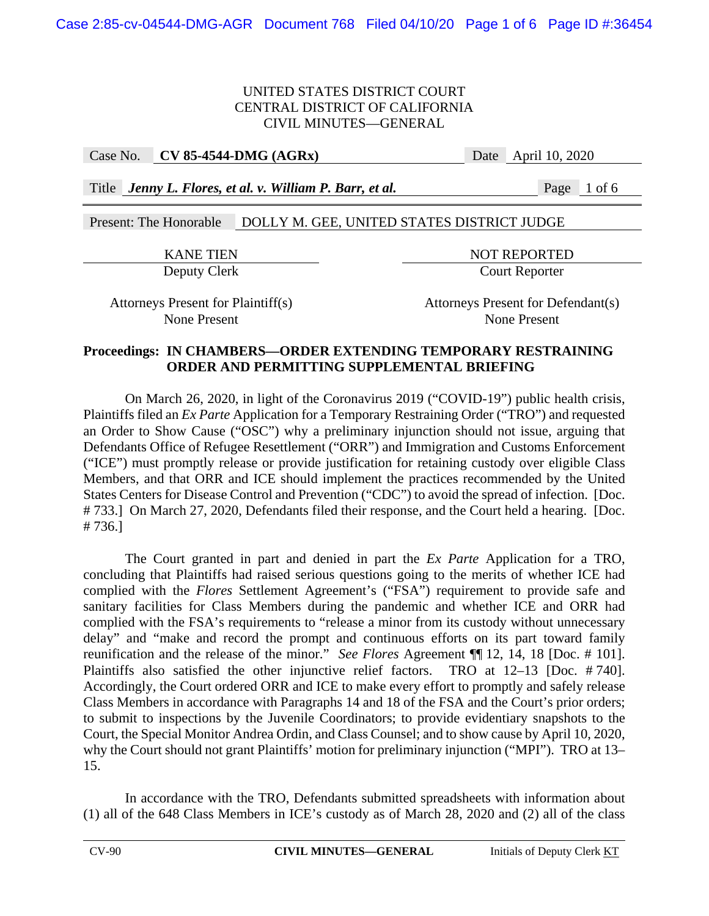Case No. **CV 85-4544-DMG (AGRx)** Date April 10, 2020

Title *Jenny L. Flores, et al. v. William P. Barr, et al.* Page 1 of 6

# Present: The Honorable DOLLY M. GEE, UNITED STATES DISTRICT JUDGE

KANE TIEN NOT REPORTED Deputy Clerk Court Reporter

Attorneys Present for Plaintiff(s) Attorneys Present for Defendant(s) None Present None Present

## **Proceedings: IN CHAMBERS—ORDER EXTENDING TEMPORARY RESTRAINING ORDER AND PERMITTING SUPPLEMENTAL BRIEFING**

On March 26, 2020, in light of the Coronavirus 2019 ("COVID-19") public health crisis, Plaintiffs filed an *Ex Parte* Application for a Temporary Restraining Order ("TRO") and requested an Order to Show Cause ("OSC") why a preliminary injunction should not issue, arguing that Defendants Office of Refugee Resettlement ("ORR") and Immigration and Customs Enforcement ("ICE") must promptly release or provide justification for retaining custody over eligible Class Members, and that ORR and ICE should implement the practices recommended by the United States Centers for Disease Control and Prevention ("CDC") to avoid the spread of infection. [Doc. # 733.] On March 27, 2020, Defendants filed their response, and the Court held a hearing. [Doc. # 736.]

The Court granted in part and denied in part the *Ex Parte* Application for a TRO, concluding that Plaintiffs had raised serious questions going to the merits of whether ICE had complied with the *Flores* Settlement Agreement's ("FSA") requirement to provide safe and sanitary facilities for Class Members during the pandemic and whether ICE and ORR had complied with the FSA's requirements to "release a minor from its custody without unnecessary delay" and "make and record the prompt and continuous efforts on its part toward family reunification and the release of the minor." *See Flores* Agreement ¶¶ 12, 14, 18 [Doc. # 101]. Plaintiffs also satisfied the other injunctive relief factors. TRO at 12–13 [Doc. # 740]. Accordingly, the Court ordered ORR and ICE to make every effort to promptly and safely release Class Members in accordance with Paragraphs 14 and 18 of the FSA and the Court's prior orders; to submit to inspections by the Juvenile Coordinators; to provide evidentiary snapshots to the Court, the Special Monitor Andrea Ordin, and Class Counsel; and to show cause by April 10, 2020, why the Court should not grant Plaintiffs' motion for preliminary injunction ("MPI"). TRO at 13– 15.

 In accordance with the TRO, Defendants submitted spreadsheets with information about (1) all of the 648 Class Members in ICE's custody as of March 28, 2020 and (2) all of the class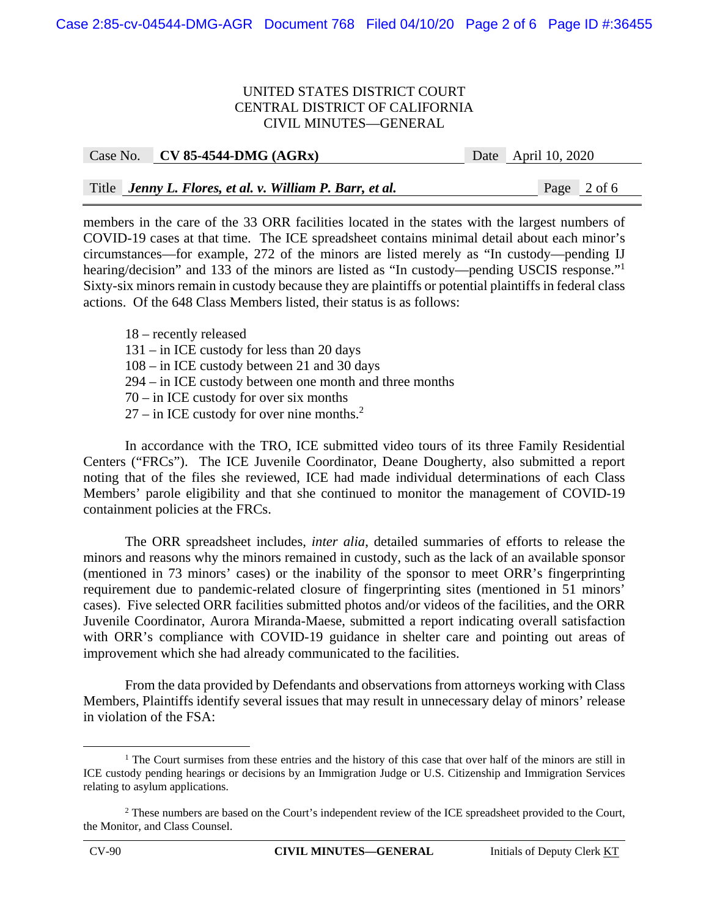| Title Jenny L. Flores, et al. v. William P. Barr, et al. | Page 2 of 6 |
|----------------------------------------------------------|-------------|

Case No. **CV 85-4544-DMG (AGRx)** Date April 10, 2020

members in the care of the 33 ORR facilities located in the states with the largest numbers of COVID-19 cases at that time. The ICE spreadsheet contains minimal detail about each minor's circumstances—for example, 272 of the minors are listed merely as "In custody—pending IJ hearing/decision" and 133 of the minors are listed as "In custody—pending USCIS response."<sup>1</sup> Sixty-six minors remain in custody because they are plaintiffs or potential plaintiffs in federal class actions. Of the 648 Class Members listed, their status is as follows:

18 – recently released 131 – in ICE custody for less than 20 days 108 – in ICE custody between 21 and 30 days 294 – in ICE custody between one month and three months 70 – in ICE custody for over six months  $27 - in ICE$  custody for over nine months.<sup>2</sup>

In accordance with the TRO, ICE submitted video tours of its three Family Residential Centers ("FRCs"). The ICE Juvenile Coordinator, Deane Dougherty, also submitted a report noting that of the files she reviewed, ICE had made individual determinations of each Class Members' parole eligibility and that she continued to monitor the management of COVID-19 containment policies at the FRCs.

The ORR spreadsheet includes, *inter alia*, detailed summaries of efforts to release the minors and reasons why the minors remained in custody, such as the lack of an available sponsor (mentioned in 73 minors' cases) or the inability of the sponsor to meet ORR's fingerprinting requirement due to pandemic-related closure of fingerprinting sites (mentioned in 51 minors' cases). Five selected ORR facilities submitted photos and/or videos of the facilities, and the ORR Juvenile Coordinator, Aurora Miranda-Maese, submitted a report indicating overall satisfaction with ORR's compliance with COVID-19 guidance in shelter care and pointing out areas of improvement which she had already communicated to the facilities.

From the data provided by Defendants and observations from attorneys working with Class Members, Plaintiffs identify several issues that may result in unnecessary delay of minors' release in violation of the FSA:

<sup>&</sup>lt;u>1</u> <sup>1</sup> The Court surmises from these entries and the history of this case that over half of the minors are still in ICE custody pending hearings or decisions by an Immigration Judge or U.S. Citizenship and Immigration Services relating to asylum applications.

<sup>&</sup>lt;sup>2</sup> These numbers are based on the Court's independent review of the ICE spreadsheet provided to the Court, the Monitor, and Class Counsel.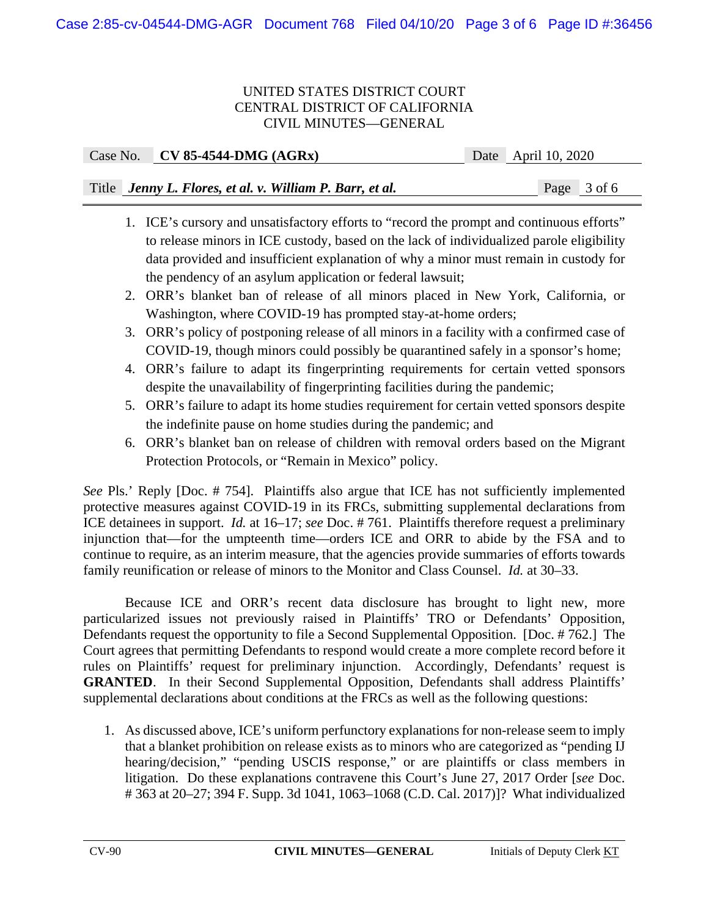| Case No. CV 85-4544-DMG $(AGRx)$                         | Date April 10, 2020 |
|----------------------------------------------------------|---------------------|
|                                                          |                     |
| Title Jenny L. Flores, et al. v. William P. Barr, et al. | Page 3 of 6         |

- 1. ICE's cursory and unsatisfactory efforts to "record the prompt and continuous efforts" to release minors in ICE custody, based on the lack of individualized parole eligibility data provided and insufficient explanation of why a minor must remain in custody for the pendency of an asylum application or federal lawsuit;
- 2. ORR's blanket ban of release of all minors placed in New York, California, or Washington, where COVID-19 has prompted stay-at-home orders;
- 3. ORR's policy of postponing release of all minors in a facility with a confirmed case of COVID-19, though minors could possibly be quarantined safely in a sponsor's home;
- 4. ORR's failure to adapt its fingerprinting requirements for certain vetted sponsors despite the unavailability of fingerprinting facilities during the pandemic;
- 5. ORR's failure to adapt its home studies requirement for certain vetted sponsors despite the indefinite pause on home studies during the pandemic; and
- 6. ORR's blanket ban on release of children with removal orders based on the Migrant Protection Protocols, or "Remain in Mexico" policy.

*See* Pls.' Reply [Doc. # 754]. Plaintiffs also argue that ICE has not sufficiently implemented protective measures against COVID-19 in its FRCs, submitting supplemental declarations from ICE detainees in support. *Id.* at 16–17; *see* Doc. # 761. Plaintiffs therefore request a preliminary injunction that—for the umpteenth time—orders ICE and ORR to abide by the FSA and to continue to require, as an interim measure, that the agencies provide summaries of efforts towards family reunification or release of minors to the Monitor and Class Counsel. *Id.* at 30–33.

Because ICE and ORR's recent data disclosure has brought to light new, more particularized issues not previously raised in Plaintiffs' TRO or Defendants' Opposition, Defendants request the opportunity to file a Second Supplemental Opposition. [Doc. # 762.] The Court agrees that permitting Defendants to respond would create a more complete record before it rules on Plaintiffs' request for preliminary injunction. Accordingly, Defendants' request is **GRANTED**. In their Second Supplemental Opposition, Defendants shall address Plaintiffs' supplemental declarations about conditions at the FRCs as well as the following questions:

1. As discussed above, ICE's uniform perfunctory explanations for non-release seem to imply that a blanket prohibition on release exists as to minors who are categorized as "pending IJ hearing/decision," "pending USCIS response," or are plaintiffs or class members in litigation. Do these explanations contravene this Court's June 27, 2017 Order [*see* Doc. # 363 at 20–27; 394 F. Supp. 3d 1041, 1063–1068 (C.D. Cal. 2017)]? What individualized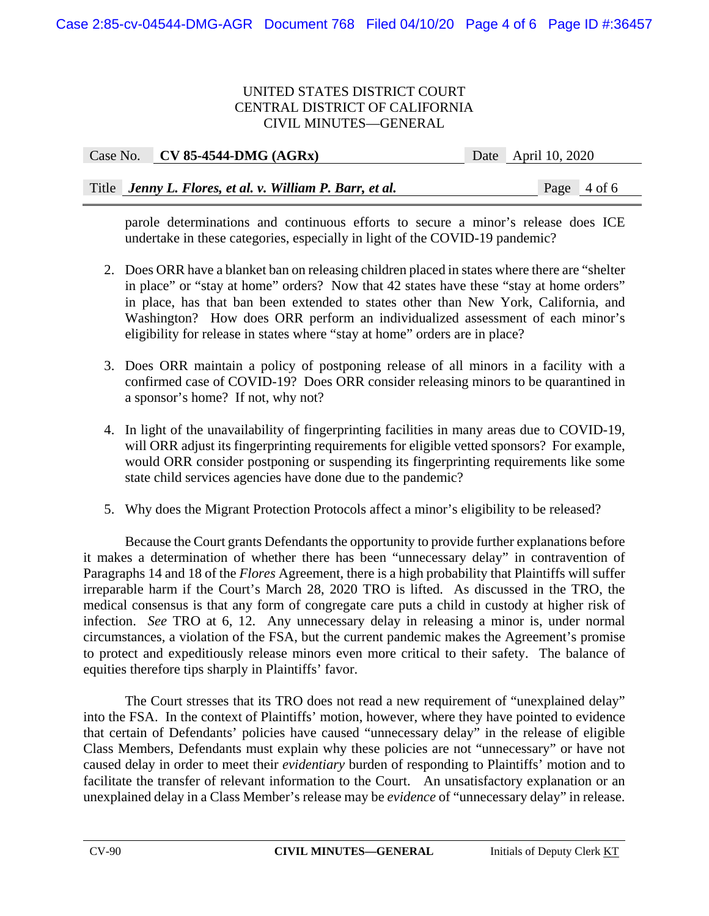Case No. **CV 85-4544-DMG (AGRx)** Date April 10, 2020

| Case IVO. C $V$ OS-TST-DIMO (AOIM)                       | $\mu_{\text{A}}$ |  |
|----------------------------------------------------------|------------------|--|
|                                                          |                  |  |
|                                                          |                  |  |
| Title Jenny L. Flores, et al. v. William P. Barr, et al. | Page $4$ of 6    |  |

parole determinations and continuous efforts to secure a minor's release does ICE undertake in these categories, especially in light of the COVID-19 pandemic?

- 2. Does ORR have a blanket ban on releasing children placed in states where there are "shelter in place" or "stay at home" orders? Now that 42 states have these "stay at home orders" in place, has that ban been extended to states other than New York, California, and Washington? How does ORR perform an individualized assessment of each minor's eligibility for release in states where "stay at home" orders are in place?
- 3. Does ORR maintain a policy of postponing release of all minors in a facility with a confirmed case of COVID-19? Does ORR consider releasing minors to be quarantined in a sponsor's home? If not, why not?
- 4. In light of the unavailability of fingerprinting facilities in many areas due to COVID-19, will ORR adjust its fingerprinting requirements for eligible vetted sponsors? For example, would ORR consider postponing or suspending its fingerprinting requirements like some state child services agencies have done due to the pandemic?
- 5. Why does the Migrant Protection Protocols affect a minor's eligibility to be released?

Because the Court grants Defendants the opportunity to provide further explanations before it makes a determination of whether there has been "unnecessary delay" in contravention of Paragraphs 14 and 18 of the *Flores* Agreement, there is a high probability that Plaintiffs will suffer irreparable harm if the Court's March 28, 2020 TRO is lifted. As discussed in the TRO, the medical consensus is that any form of congregate care puts a child in custody at higher risk of infection. *See* TRO at 6, 12. Any unnecessary delay in releasing a minor is, under normal circumstances, a violation of the FSA, but the current pandemic makes the Agreement's promise to protect and expeditiously release minors even more critical to their safety. The balance of equities therefore tips sharply in Plaintiffs' favor.

 The Court stresses that its TRO does not read a new requirement of "unexplained delay" into the FSA. In the context of Plaintiffs' motion, however, where they have pointed to evidence that certain of Defendants' policies have caused "unnecessary delay" in the release of eligible Class Members, Defendants must explain why these policies are not "unnecessary" or have not caused delay in order to meet their *evidentiary* burden of responding to Plaintiffs' motion and to facilitate the transfer of relevant information to the Court. An unsatisfactory explanation or an unexplained delay in a Class Member's release may be *evidence* of "unnecessary delay" in release.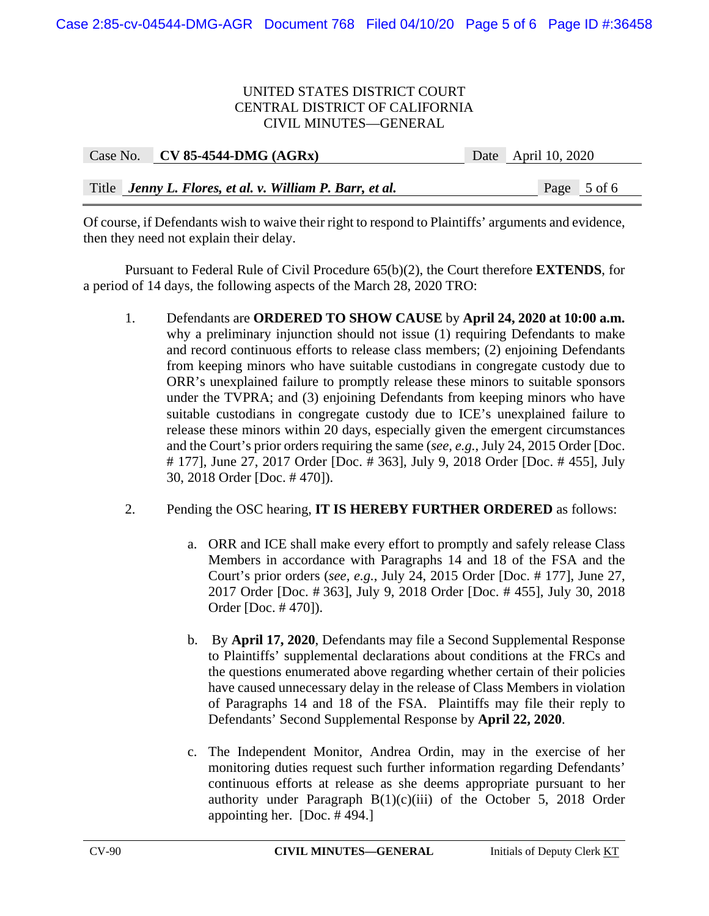| Case No. CV 85-4544-DMG $(AGRx)$                         | Date April 10, 2020 |
|----------------------------------------------------------|---------------------|
|                                                          |                     |
| Title Jenny L. Flores, et al. v. William P. Barr, et al. | Page 5 of 6         |

Of course, if Defendants wish to waive their right to respond to Plaintiffs' arguments and evidence, then they need not explain their delay.

 Pursuant to Federal Rule of Civil Procedure 65(b)(2), the Court therefore **EXTENDS**, for a period of 14 days, the following aspects of the March 28, 2020 TRO:

1. Defendants are **ORDERED TO SHOW CAUSE** by **April 24, 2020 at 10:00 a.m.**  why a preliminary injunction should not issue (1) requiring Defendants to make and record continuous efforts to release class members; (2) enjoining Defendants from keeping minors who have suitable custodians in congregate custody due to ORR's unexplained failure to promptly release these minors to suitable sponsors under the TVPRA; and (3) enjoining Defendants from keeping minors who have suitable custodians in congregate custody due to ICE's unexplained failure to release these minors within 20 days, especially given the emergent circumstances and the Court's prior orders requiring the same (*see, e.g.*, July 24, 2015 Order [Doc. # 177], June 27, 2017 Order [Doc. # 363], July 9, 2018 Order [Doc. # 455], July 30, 2018 Order [Doc. # 470]).

# 2. Pending the OSC hearing, **IT IS HEREBY FURTHER ORDERED** as follows:

- a. ORR and ICE shall make every effort to promptly and safely release Class Members in accordance with Paragraphs 14 and 18 of the FSA and the Court's prior orders (*see, e.g.*, July 24, 2015 Order [Doc. # 177], June 27, 2017 Order [Doc. # 363], July 9, 2018 Order [Doc. # 455], July 30, 2018 Order [Doc. # 470]).
- b. By **April 17, 2020**, Defendants may file a Second Supplemental Response to Plaintiffs' supplemental declarations about conditions at the FRCs and the questions enumerated above regarding whether certain of their policies have caused unnecessary delay in the release of Class Members in violation of Paragraphs 14 and 18 of the FSA. Plaintiffs may file their reply to Defendants' Second Supplemental Response by **April 22, 2020**.
- c. The Independent Monitor, Andrea Ordin, may in the exercise of her monitoring duties request such further information regarding Defendants' continuous efforts at release as she deems appropriate pursuant to her authority under Paragraph  $B(1)(c)(iii)$  of the October 5, 2018 Order appointing her. [Doc. # 494.]